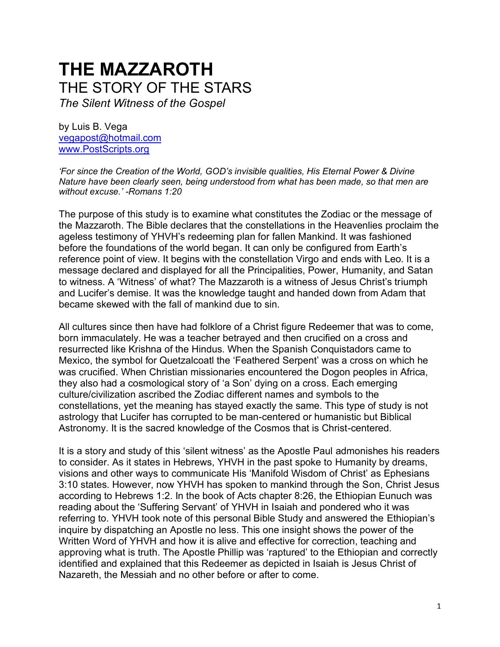# **THE MAZZAROTH** THE STORY OF THE STARS *The Silent Witness of the Gospel*

by Luis B. Vega [vegapost@hotmail.com](mailto:vegapost@hotmail.com) [www.PostScripts.org](http://www.postscripts.org/)

*'For since the Creation of the World, GOD's invisible qualities, His Eternal Power & Divine Nature have been clearly seen, being understood from what has been made, so that men are without excuse.' -Romans 1:20*

The purpose of this study is to examine what constitutes the Zodiac or the message of the Mazzaroth. The Bible declares that the constellations in the Heavenlies proclaim the ageless testimony of YHVH's redeeming plan for fallen Mankind. It was fashioned before the foundations of the world began. It can only be configured from Earth's reference point of view. It begins with the constellation Virgo and ends with Leo. It is a message declared and displayed for all the Principalities, Power, Humanity, and Satan to witness. A 'Witness' of what? The Mazzaroth is a witness of Jesus Christ's triumph and Lucifer's demise. It was the knowledge taught and handed down from Adam that became skewed with the fall of mankind due to sin.

All cultures since then have had folklore of a Christ figure Redeemer that was to come, born immaculately. He was a teacher betrayed and then crucified on a cross and resurrected like Krishna of the Hindus. When the Spanish Conquistadors came to Mexico, the symbol for Quetzalcoatl the 'Feathered Serpent' was a cross on which he was crucified. When Christian missionaries encountered the Dogon peoples in Africa, they also had a cosmological story of 'a Son' dying on a cross. Each emerging culture/civilization ascribed the Zodiac different names and symbols to the constellations, yet the meaning has stayed exactly the same. This type of study is not astrology that Lucifer has corrupted to be man-centered or humanistic but Biblical Astronomy. It is the sacred knowledge of the Cosmos that is Christ-centered.

It is a story and study of this 'silent witness' as the Apostle Paul admonishes his readers to consider. As it states in Hebrews, YHVH in the past spoke to Humanity by dreams, visions and other ways to communicate His 'Manifold Wisdom of Christ' as Ephesians 3:10 states. However, now YHVH has spoken to mankind through the Son, Christ Jesus according to Hebrews 1:2. In the book of Acts chapter 8:26, the Ethiopian Eunuch was reading about the 'Suffering Servant' of YHVH in Isaiah and pondered who it was referring to. YHVH took note of this personal Bible Study and answered the Ethiopian's inquire by dispatching an Apostle no less. This one insight shows the power of the Written Word of YHVH and how it is alive and effective for correction, teaching and approving what is truth. The Apostle Phillip was 'raptured' to the Ethiopian and correctly identified and explained that this Redeemer as depicted in Isaiah is Jesus Christ of Nazareth, the Messiah and no other before or after to come.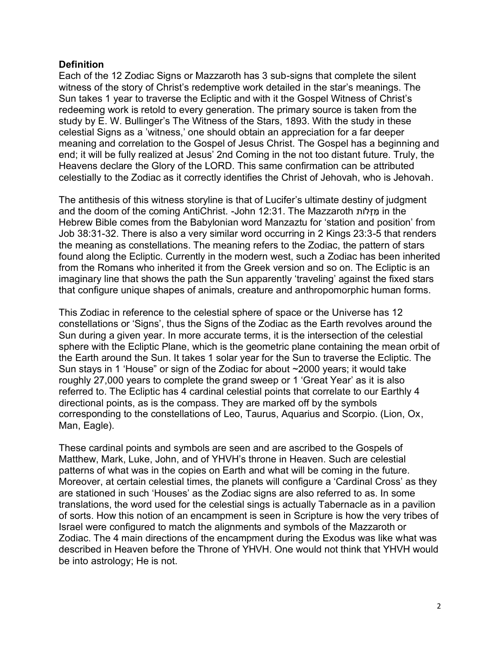## **Definition**

Each of the 12 Zodiac Signs or Mazzaroth has 3 sub-signs that complete the silent witness of the story of Christ's redemptive work detailed in the star's meanings. The Sun takes 1 year to traverse the Ecliptic and with it the Gospel Witness of Christ's redeeming work is retold to every generation. The primary source is taken from the study by E. W. Bullinger's The Witness of the Stars, 1893. With the study in these celestial Signs as a 'witness,' one should obtain an appreciation for a far deeper meaning and correlation to the Gospel of Jesus Christ. The Gospel has a beginning and end; it will be fully realized at Jesus' 2nd Coming in the not too distant future. Truly, the Heavens declare the Glory of the LORD. This same confirmation can be attributed celestially to the Zodiac as it correctly identifies the Christ of Jehovah, who is Jehovah.

The antithesis of this witness storyline is that of Lucifer's ultimate destiny of judgment and the doom of the coming AntiChrist. -John 12:31. The Mazzaroth מַזָּלוֹת in the Hebrew Bible comes from the Babylonian word Manzaztu for 'station and position' from Job 38:31-32. There is also a very similar word occurring in 2 Kings 23:3-5 that renders the meaning as constellations. The meaning refers to the Zodiac, the pattern of stars found along the Ecliptic. Currently in the modern west, such a Zodiac has been inherited from the Romans who inherited it from the Greek version and so on. The Ecliptic is an imaginary line that shows the path the Sun apparently 'traveling' against the fixed stars that configure unique shapes of animals, creature and anthropomorphic human forms.

This Zodiac in reference to the celestial sphere of space or the Universe has 12 constellations or 'Signs', thus the Signs of the Zodiac as the Earth revolves around the Sun during a given year. In more accurate terms, it is the intersection of the celestial sphere with the Ecliptic Plane, which is the geometric plane containing the mean orbit of the Earth around the Sun. It takes 1 solar year for the Sun to traverse the Ecliptic. The Sun stays in 1 'House" or sign of the Zodiac for about ~2000 years; it would take roughly 27,000 years to complete the grand sweep or 1 'Great Year' as it is also referred to. The Ecliptic has 4 cardinal celestial points that correlate to our Earthly 4 directional points, as is the compass. They are marked off by the symbols corresponding to the constellations of Leo, Taurus, Aquarius and Scorpio. (Lion, Ox, Man, Eagle).

These cardinal points and symbols are seen and are ascribed to the Gospels of Matthew, Mark, Luke, John, and of YHVH's throne in Heaven. Such are celestial patterns of what was in the copies on Earth and what will be coming in the future. Moreover, at certain celestial times, the planets will configure a 'Cardinal Cross' as they are stationed in such 'Houses' as the Zodiac signs are also referred to as. In some translations, the word used for the celestial sings is actually Tabernacle as in a pavilion of sorts. How this notion of an encampment is seen in Scripture is how the very tribes of Israel were configured to match the alignments and symbols of the Mazzaroth or Zodiac. The 4 main directions of the encampment during the Exodus was like what was described in Heaven before the Throne of YHVH. One would not think that YHVH would be into astrology; He is not.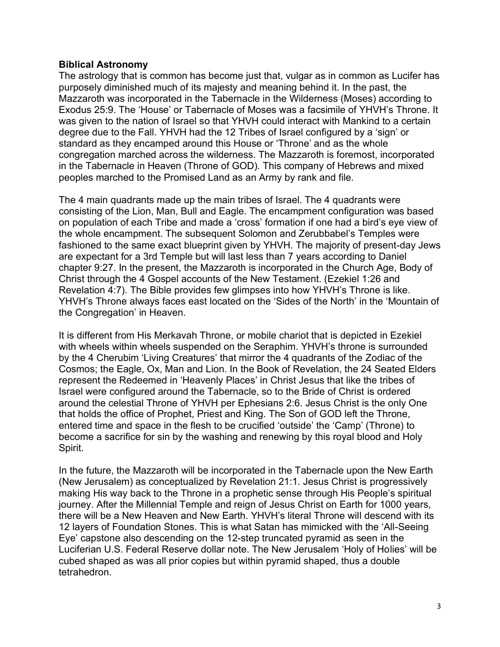#### **Biblical Astronomy**

The astrology that is common has become just that, vulgar as in common as Lucifer has purposely diminished much of its majesty and meaning behind it. In the past, the Mazzaroth was incorporated in the Tabernacle in the Wilderness (Moses) according to Exodus 25:9. The 'House' or Tabernacle of Moses was a facsimile of YHVH's Throne. It was given to the nation of Israel so that YHVH could interact with Mankind to a certain degree due to the Fall. YHVH had the 12 Tribes of Israel configured by a 'sign' or standard as they encamped around this House or 'Throne' and as the whole congregation marched across the wilderness. The Mazzaroth is foremost, incorporated in the Tabernacle in Heaven (Throne of GOD). This company of Hebrews and mixed peoples marched to the Promised Land as an Army by rank and file.

The 4 main quadrants made up the main tribes of Israel. The 4 quadrants were consisting of the Lion, Man, Bull and Eagle. The encampment configuration was based on population of each Tribe and made a 'cross' formation if one had a bird's eye view of the whole encampment. The subsequent Solomon and Zerubbabel's Temples were fashioned to the same exact blueprint given by YHVH. The majority of present-day Jews are expectant for a 3rd Temple but will last less than 7 years according to Daniel chapter 9:27. In the present, the Mazzaroth is incorporated in the Church Age, Body of Christ through the 4 Gospel accounts of the New Testament. (Ezekiel 1:26 and Revelation 4:7). The Bible provides few glimpses into how YHVH's Throne is like. YHVH's Throne always faces east located on the 'Sides of the North' in the 'Mountain of the Congregation' in Heaven.

It is different from His Merkavah Throne, or mobile chariot that is depicted in Ezekiel with wheels within wheels suspended on the Seraphim. YHVH's throne is surrounded by the 4 Cherubim 'Living Creatures' that mirror the 4 quadrants of the Zodiac of the Cosmos; the Eagle, Ox, Man and Lion. In the Book of Revelation, the 24 Seated Elders represent the Redeemed in 'Heavenly Places' in Christ Jesus that like the tribes of Israel were configured around the Tabernacle, so to the Bride of Christ is ordered around the celestial Throne of YHVH per Ephesians 2:6. Jesus Christ is the only One that holds the office of Prophet, Priest and King. The Son of GOD left the Throne, entered time and space in the flesh to be crucified 'outside' the 'Camp' (Throne) to become a sacrifice for sin by the washing and renewing by this royal blood and Holy Spirit.

In the future, the Mazzaroth will be incorporated in the Tabernacle upon the New Earth (New Jerusalem) as conceptualized by Revelation 21:1. Jesus Christ is progressively making His way back to the Throne in a prophetic sense through His People's spiritual journey. After the Millennial Temple and reign of Jesus Christ on Earth for 1000 years, there will be a New Heaven and New Earth. YHVH's literal Throne will descend with its 12 layers of Foundation Stones. This is what Satan has mimicked with the 'All-Seeing Eye' capstone also descending on the 12-step truncated pyramid as seen in the Luciferian U.S. Federal Reserve dollar note. The New Jerusalem 'Holy of Holies' will be cubed shaped as was all prior copies but within pyramid shaped, thus a double tetrahedron.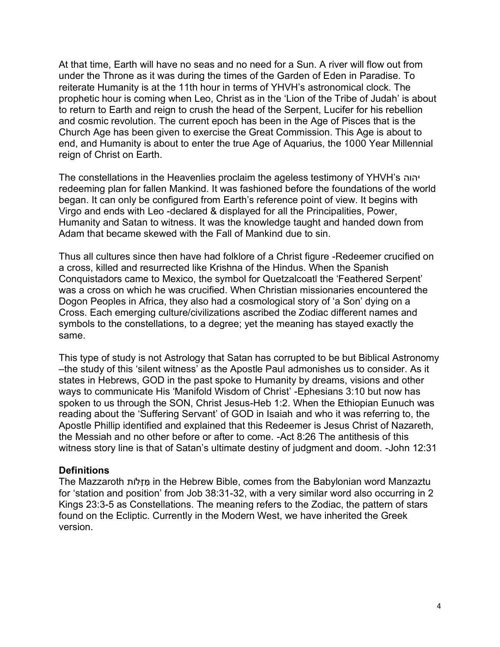At that time, Earth will have no seas and no need for a Sun. A river will flow out from under the Throne as it was during the times of the Garden of Eden in Paradise. To reiterate Humanity is at the 11th hour in terms of YHVH's astronomical clock. The prophetic hour is coming when Leo, Christ as in the 'Lion of the Tribe of Judah' is about to return to Earth and reign to crush the head of the Serpent, Lucifer for his rebellion and cosmic revolution. The current epoch has been in the Age of Pisces that is the Church Age has been given to exercise the Great Commission. This Age is about to end, and Humanity is about to enter the true Age of Aquarius, the 1000 Year Millennial reign of Christ on Earth.

The constellations in the Heavenlies proclaim the ageless testimony of YHVH's יהוה redeeming plan for fallen Mankind. It was fashioned before the foundations of the world began. It can only be configured from Earth's reference point of view. It begins with Virgo and ends with Leo -declared & displayed for all the Principalities, Power, Humanity and Satan to witness. It was the knowledge taught and handed down from Adam that became skewed with the Fall of Mankind due to sin.

Thus all cultures since then have had folklore of a Christ figure -Redeemer crucified on a cross, killed and resurrected like Krishna of the Hindus. When the Spanish Conquistadors came to Mexico, the symbol for Quetzalcoatl the 'Feathered Serpent' was a cross on which he was crucified. When Christian missionaries encountered the Dogon Peoples in Africa, they also had a cosmological story of 'a Son' dying on a Cross. Each emerging culture/civilizations ascribed the Zodiac different names and symbols to the constellations, to a degree; yet the meaning has stayed exactly the same.

This type of study is not Astrology that Satan has corrupted to be but Biblical Astronomy –the study of this 'silent witness' as the Apostle Paul admonishes us to consider. As it states in Hebrews, GOD in the past spoke to Humanity by dreams, visions and other ways to communicate His 'Manifold Wisdom of Christ' -Ephesians 3:10 but now has spoken to us through the SON, Christ Jesus-Heb 1:2. When the Ethiopian Eunuch was reading about the 'Suffering Servant' of GOD in Isaiah and who it was referring to, the Apostle Phillip identified and explained that this Redeemer is Jesus Christ of Nazareth, the Messiah and no other before or after to come. -Act 8:26 The antithesis of this witness story line is that of Satan's ultimate destiny of judgment and doom. -John 12:31

## **Definitions**

The Mazzaroth לותָֹּז ַּמ in the Hebrew Bible, comes from the Babylonian word Manzaztu for 'station and position' from Job 38:31-32, with a very similar word also occurring in 2 Kings 23:3-5 as Constellations. The meaning refers to the Zodiac, the pattern of stars found on the Ecliptic. Currently in the Modern West, we have inherited the Greek version.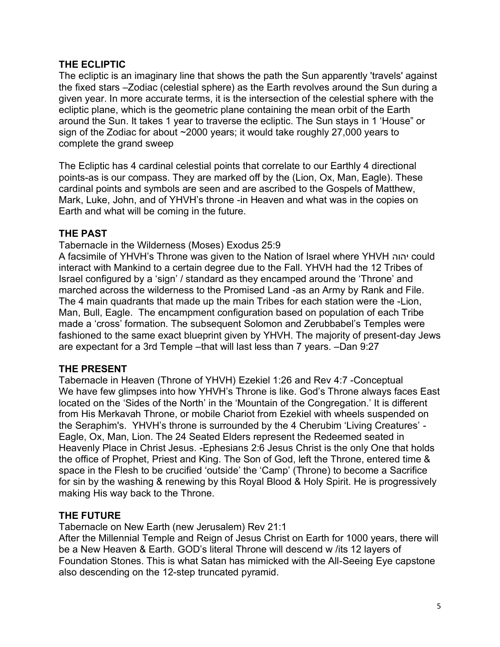# **THE ECLIPTIC**

The ecliptic is an imaginary line that shows the path the Sun apparently 'travels' against the fixed stars –Zodiac (celestial sphere) as the Earth revolves around the Sun during a given year. In more accurate terms, it is the intersection of the celestial sphere with the ecliptic plane, which is the geometric plane containing the mean orbit of the Earth around the Sun. It takes 1 year to traverse the ecliptic. The Sun stays in 1 'House" or sign of the Zodiac for about ~2000 years; it would take roughly 27,000 years to complete the grand sweep

The Ecliptic has 4 cardinal celestial points that correlate to our Earthly 4 directional points-as is our compass. They are marked off by the (Lion, Ox, Man, Eagle). These cardinal points and symbols are seen and are ascribed to the Gospels of Matthew, Mark, Luke, John, and of YHVH's throne -in Heaven and what was in the copies on Earth and what will be coming in the future.

# **THE PAST**

Tabernacle in the Wilderness (Moses) Exodus 25:9

A facsimile of YHVH's Throne was given to the Nation of Israel where YHVH יהוה could interact with Mankind to a certain degree due to the Fall. YHVH had the 12 Tribes of Israel configured by a 'sign' / standard as they encamped around the 'Throne' and marched across the wilderness to the Promised Land -as an Army by Rank and File. The 4 main quadrants that made up the main Tribes for each station were the -Lion, Man, Bull, Eagle. The encampment configuration based on population of each Tribe made a 'cross' formation. The subsequent Solomon and Zerubbabel's Temples were fashioned to the same exact blueprint given by YHVH. The majority of present-day Jews are expectant for a 3rd Temple –that will last less than 7 years. –Dan 9:27

## **THE PRESENT**

Tabernacle in Heaven (Throne of YHVH) Ezekiel 1:26 and Rev 4:7 -Conceptual We have few glimpses into how YHVH's Throne is like. God's Throne always faces East located on the 'Sides of the North' in the 'Mountain of the Congregation.' It is different from His Merkavah Throne, or mobile Chariot from Ezekiel with wheels suspended on the Seraphim's. YHVH's throne is surrounded by the 4 Cherubim 'Living Creatures' - Eagle, Ox, Man, Lion. The 24 Seated Elders represent the Redeemed seated in Heavenly Place in Christ Jesus. -Ephesians 2:6 Jesus Christ is the only One that holds the office of Prophet, Priest and King. The Son of God, left the Throne, entered time & space in the Flesh to be crucified 'outside' the 'Camp' (Throne) to become a Sacrifice for sin by the washing & renewing by this Royal Blood & Holy Spirit. He is progressively making His way back to the Throne.

# **THE FUTURE**

Tabernacle on New Earth (new Jerusalem) Rev 21:1

After the Millennial Temple and Reign of Jesus Christ on Earth for 1000 years, there will be a New Heaven & Earth. GOD's literal Throne will descend w /its 12 layers of Foundation Stones. This is what Satan has mimicked with the All-Seeing Eye capstone also descending on the 12-step truncated pyramid.